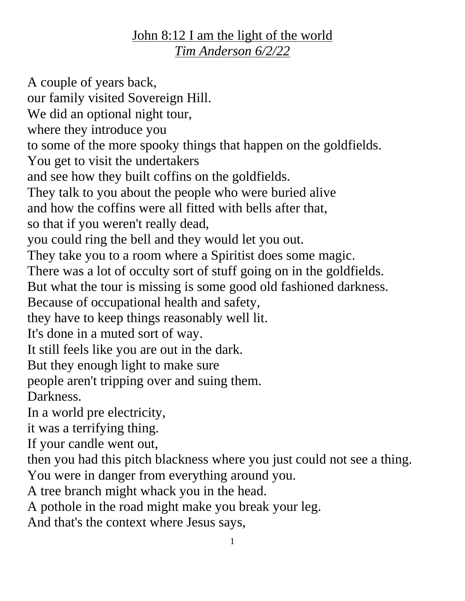## John 8:12 I am the light of the world *Tim Anderson 6/2/22*

A couple of years back, our family visited Sovereign Hill. We did an optional night tour, where they introduce you to some of the more spooky things that happen on the goldfields. You get to visit the undertakers and see how they built coffins on the goldfields. They talk to you about the people who were buried alive and how the coffins were all fitted with bells after that, so that if you weren't really dead, you could ring the bell and they would let you out. They take you to a room where a Spiritist does some magic. There was a lot of occulty sort of stuff going on in the goldfields. But what the tour is missing is some good old fashioned darkness. Because of occupational health and safety, they have to keep things reasonably well lit. It's done in a muted sort of way. It still feels like you are out in the dark. But they enough light to make sure people aren't tripping over and suing them. Darkness. In a world pre electricity, it was a terrifying thing. If your candle went out, then you had this pitch blackness where you just could not see a thing. You were in danger from everything around you. A tree branch might whack you in the head. A pothole in the road might make you break your leg. And that's the context where Jesus says,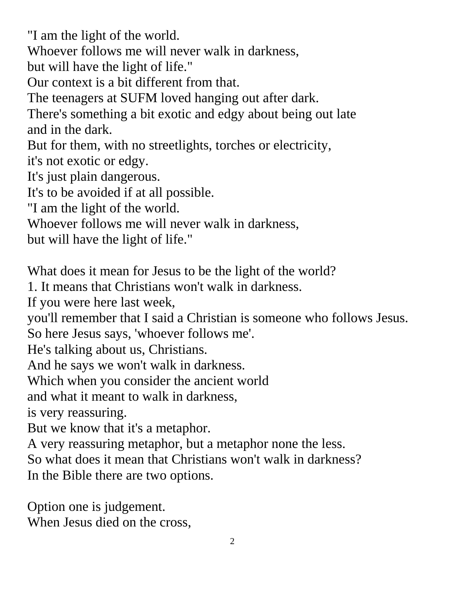"I am the light of the world. Whoever follows me will never walk in darkness, but will have the light of life." Our context is a bit different from that. The teenagers at SUFM loved hanging out after dark. There's something a bit exotic and edgy about being out late and in the dark. But for them, with no streetlights, torches or electricity, it's not exotic or edgy. It's just plain dangerous. It's to be avoided if at all possible. "I am the light of the world. Whoever follows me will never walk in darkness, but will have the light of life." What does it mean for Jesus to be the light of the world? 1. It means that Christians won't walk in darkness. If you were here last week, you'll remember that I said a Christian is someone who follows Jesus. So here Jesus says, 'whoever follows me'.

He's talking about us, Christians.

And he says we won't walk in darkness.

Which when you consider the ancient world

and what it meant to walk in darkness,

is very reassuring.

But we know that it's a metaphor.

A very reassuring metaphor, but a metaphor none the less.

So what does it mean that Christians won't walk in darkness?

In the Bible there are two options.

Option one is judgement. When Jesus died on the cross,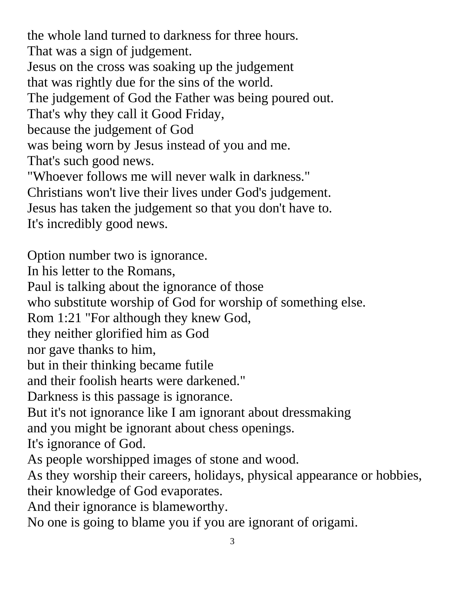the whole land turned to darkness for three hours. That was a sign of judgement. Jesus on the cross was soaking up the judgement that was rightly due for the sins of the world. The judgement of God the Father was being poured out. That's why they call it Good Friday, because the judgement of God was being worn by Jesus instead of you and me. That's such good news. "Whoever follows me will never walk in darkness."

Christians won't live their lives under God's judgement. Jesus has taken the judgement so that you don't have to. It's incredibly good news.

Option number two is ignorance. In his letter to the Romans, Paul is talking about the ignorance of those who substitute worship of God for worship of something else. Rom 1:21 "For although they knew God, they neither glorified him as God nor gave thanks to him, but in their thinking became futile and their foolish hearts were darkened." Darkness is this passage is ignorance. But it's not ignorance like I am ignorant about dressmaking and you might be ignorant about chess openings. It's ignorance of God. As people worshipped images of stone and wood. As they worship their careers, holidays, physical appearance or hobbies, their knowledge of God evaporates. And their ignorance is blameworthy.

No one is going to blame you if you are ignorant of origami.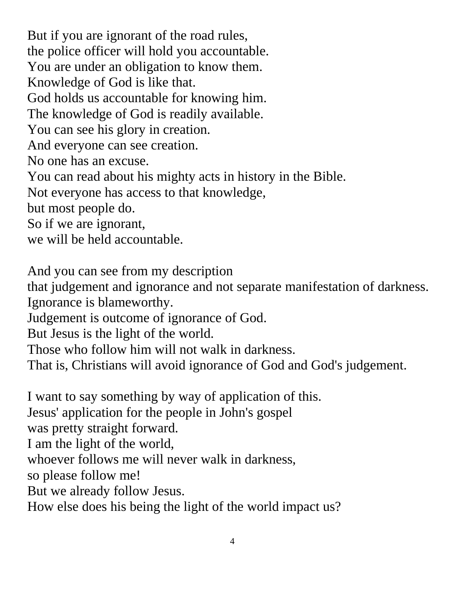But if you are ignorant of the road rules, the police officer will hold you accountable. You are under an obligation to know them. Knowledge of God is like that. God holds us accountable for knowing him. The knowledge of God is readily available. You can see his glory in creation. And everyone can see creation. No one has an excuse. You can read about his mighty acts in history in the Bible. Not everyone has access to that knowledge, but most people do. So if we are ignorant, we will be held accountable.

And you can see from my description that judgement and ignorance and not separate manifestation of darkness.

Ignorance is blameworthy.

Judgement is outcome of ignorance of God.

But Jesus is the light of the world.

Those who follow him will not walk in darkness.

That is, Christians will avoid ignorance of God and God's judgement.

I want to say something by way of application of this. Jesus' application for the people in John's gospel was pretty straight forward. I am the light of the world, whoever follows me will never walk in darkness, so please follow me! But we already follow Jesus. How else does his being the light of the world impact us?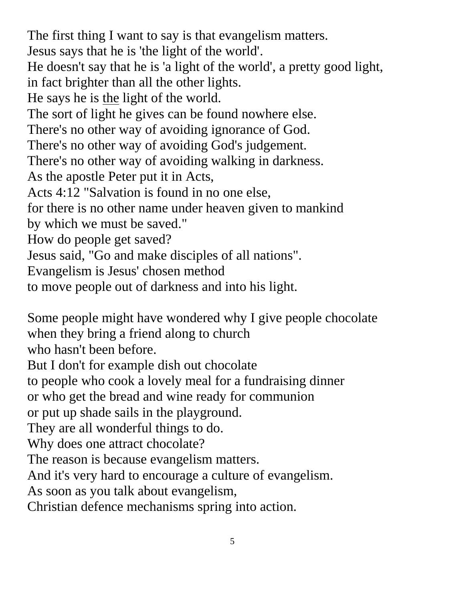The first thing I want to say is that evangelism matters. Jesus says that he is 'the light of the world'. He doesn't say that he is 'a light of the world', a pretty good light, in fact brighter than all the other lights. He says he is the light of the world. The sort of light he gives can be found nowhere else. There's no other way of avoiding ignorance of God. There's no other way of avoiding God's judgement. There's no other way of avoiding walking in darkness. As the apostle Peter put it in Acts, Acts 4:12 "Salvation is found in no one else, for there is no other name under heaven given to mankind by which we must be saved." How do people get saved? Jesus said, "Go and make disciples of all nations". Evangelism is Jesus' chosen method to move people out of darkness and into his light.

Some people might have wondered why I give people chocolate when they bring a friend along to church

who hasn't been before.

But I don't for example dish out chocolate

to people who cook a lovely meal for a fundraising dinner

or who get the bread and wine ready for communion

or put up shade sails in the playground.

They are all wonderful things to do.

Why does one attract chocolate?

The reason is because evangelism matters.

And it's very hard to encourage a culture of evangelism.

As soon as you talk about evangelism,

Christian defence mechanisms spring into action.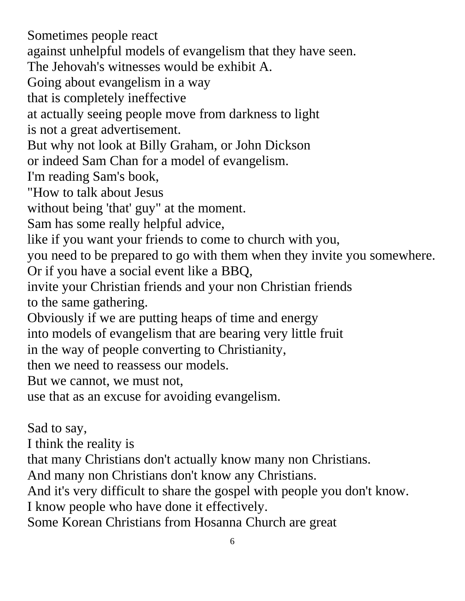Sometimes people react against unhelpful models of evangelism that they have seen. The Jehovah's witnesses would be exhibit A. Going about evangelism in a way that is completely ineffective at actually seeing people move from darkness to light is not a great advertisement. But why not look at Billy Graham, or John Dickson or indeed Sam Chan for a model of evangelism. I'm reading Sam's book, "How to talk about Jesus without being 'that' guy" at the moment. Sam has some really helpful advice, like if you want your friends to come to church with you, you need to be prepared to go with them when they invite you somewhere. Or if you have a social event like a BBQ, invite your Christian friends and your non Christian friends to the same gathering. Obviously if we are putting heaps of time and energy into models of evangelism that are bearing very little fruit in the way of people converting to Christianity, then we need to reassess our models. But we cannot, we must not, use that as an excuse for avoiding evangelism. Sad to say, I think the reality is

that many Christians don't actually know many non Christians.

And many non Christians don't know any Christians.

And it's very difficult to share the gospel with people you don't know.

I know people who have done it effectively.

Some Korean Christians from Hosanna Church are great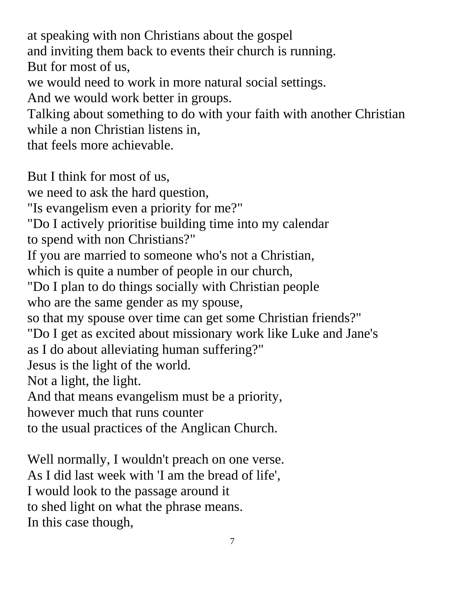at speaking with non Christians about the gospel and inviting them back to events their church is running. But for most of us, we would need to work in more natural social settings. And we would work better in groups. Talking about something to do with your faith with another Christian while a non Christian listens in, that feels more achievable. But I think for most of us,

we need to ask the hard question, "Is evangelism even a priority for me?" "Do I actively prioritise building time into my calendar to spend with non Christians?" If you are married to someone who's not a Christian, which is quite a number of people in our church, "Do I plan to do things socially with Christian people who are the same gender as my spouse, so that my spouse over time can get some Christian friends?" "Do I get as excited about missionary work like Luke and Jane's as I do about alleviating human suffering?" Jesus is the light of the world. Not a light, the light. And that means evangelism must be a priority, however much that runs counter to the usual practices of the Anglican Church.

Well normally, I wouldn't preach on one verse. As I did last week with 'I am the bread of life', I would look to the passage around it to shed light on what the phrase means. In this case though,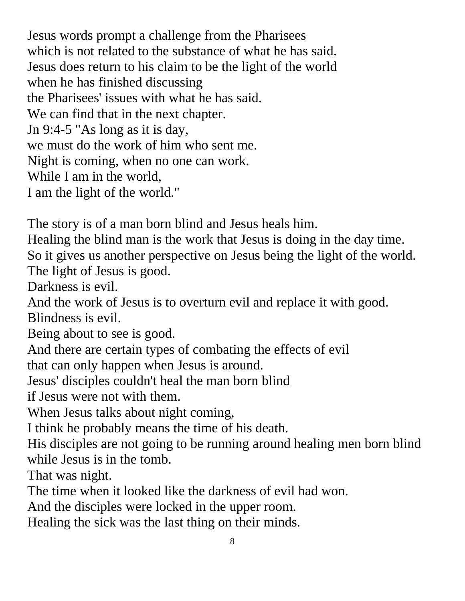Jesus words prompt a challenge from the Pharisees which is not related to the substance of what he has said. Jesus does return to his claim to be the light of the world when he has finished discussing the Pharisees' issues with what he has said. We can find that in the next chapter. Jn 9:4-5 "As long as it is day, we must do the work of him who sent me. Night is coming, when no one can work. While I am in the world, I am the light of the world."

The story is of a man born blind and Jesus heals him.

Healing the blind man is the work that Jesus is doing in the day time. So it gives us another perspective on Jesus being the light of the world. The light of Jesus is good.

Darkness is evil.

And the work of Jesus is to overturn evil and replace it with good. Blindness is evil.

Being about to see is good.

And there are certain types of combating the effects of evil

that can only happen when Jesus is around.

Jesus' disciples couldn't heal the man born blind

if Jesus were not with them.

When Jesus talks about night coming,

I think he probably means the time of his death.

His disciples are not going to be running around healing men born blind while Jesus is in the tomb.

That was night.

The time when it looked like the darkness of evil had won.

And the disciples were locked in the upper room.

Healing the sick was the last thing on their minds.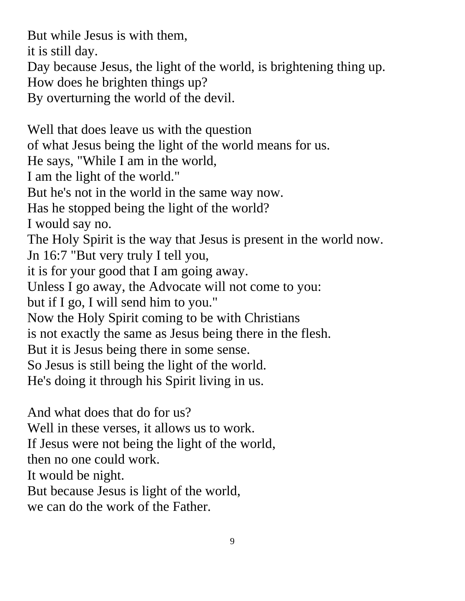But while Jesus is with them,

it is still day.

Day because Jesus, the light of the world, is brightening thing up.

How does he brighten things up?

By overturning the world of the devil.

Well that does leave us with the question of what Jesus being the light of the world means for us. He says, "While I am in the world, I am the light of the world." But he's not in the world in the same way now. Has he stopped being the light of the world? I would say no. The Holy Spirit is the way that Jesus is present in the world now. Jn 16:7 "But very truly I tell you, it is for your good that I am going away. Unless I go away, the Advocate will not come to you: but if I go, I will send him to you." Now the Holy Spirit coming to be with Christians is not exactly the same as Jesus being there in the flesh. But it is Jesus being there in some sense. So Jesus is still being the light of the world. He's doing it through his Spirit living in us. And what does that do for us?

Well in these verses, it allows us to work.

If Jesus were not being the light of the world,

then no one could work.

It would be night.

But because Jesus is light of the world,

we can do the work of the Father.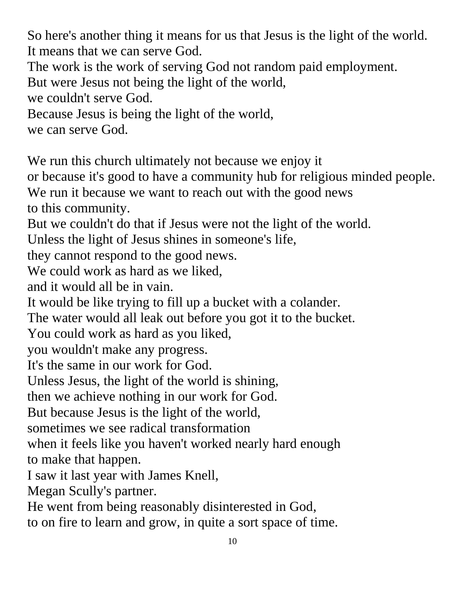So here's another thing it means for us that Jesus is the light of the world. It means that we can serve God.

The work is the work of serving God not random paid employment.

But were Jesus not being the light of the world,

we couldn't serve God.

Because Jesus is being the light of the world,

we can serve God.

We run this church ultimately not because we enjoy it

or because it's good to have a community hub for religious minded people.

We run it because we want to reach out with the good news to this community.

But we couldn't do that if Jesus were not the light of the world.

Unless the light of Jesus shines in someone's life,

they cannot respond to the good news.

We could work as hard as we liked.

and it would all be in vain.

It would be like trying to fill up a bucket with a colander.

The water would all leak out before you got it to the bucket.

You could work as hard as you liked,

you wouldn't make any progress.

It's the same in our work for God.

Unless Jesus, the light of the world is shining,

then we achieve nothing in our work for God.

But because Jesus is the light of the world,

sometimes we see radical transformation

when it feels like you haven't worked nearly hard enough to make that happen.

I saw it last year with James Knell,

Megan Scully's partner.

He went from being reasonably disinterested in God,

to on fire to learn and grow, in quite a sort space of time.